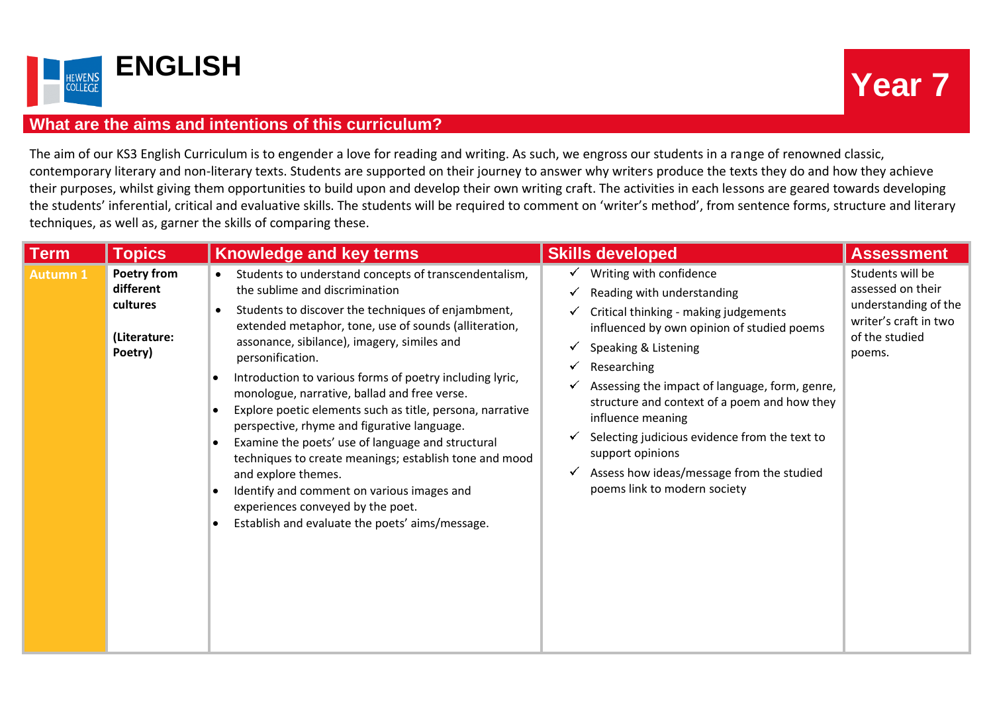

## **What are the aims and intentions of this curriculum?**

The aim of our KS3 English Curriculum is to engender a love for reading and writing. As such, we engross our students in a range of renowned classic, contemporary literary and non-literary texts. Students are supported on their journey to answer why writers produce the texts they do and how they achieve their purposes, whilst giving them opportunities to build upon and develop their own writing craft. The activities in each lessons are geared towards developing the students' inferential, critical and evaluative skills. The students will be required to comment on 'writer's method', from sentence forms, structure and literary techniques, as well as, garner the skills of comparing these.

| <b>Term</b>     | <b>Topics</b>                                                   | <b>Knowledge and key terms</b>                                                                                                                                                                                                                                                                                                                                                                                                                                                                                                                                                                                                                                                                                                                                                                                                                                   | <b>Skills developed</b>                                                                                                                                                                                                                                                                                                                                                                                                                                                                       | <b>Assessment</b>                                                                                                  |
|-----------------|-----------------------------------------------------------------|------------------------------------------------------------------------------------------------------------------------------------------------------------------------------------------------------------------------------------------------------------------------------------------------------------------------------------------------------------------------------------------------------------------------------------------------------------------------------------------------------------------------------------------------------------------------------------------------------------------------------------------------------------------------------------------------------------------------------------------------------------------------------------------------------------------------------------------------------------------|-----------------------------------------------------------------------------------------------------------------------------------------------------------------------------------------------------------------------------------------------------------------------------------------------------------------------------------------------------------------------------------------------------------------------------------------------------------------------------------------------|--------------------------------------------------------------------------------------------------------------------|
| <b>Autumn 1</b> | Poetry from<br>different<br>cultures<br>(Literature:<br>Poetry) | Students to understand concepts of transcendentalism,<br>$\bullet$<br>the sublime and discrimination<br>Students to discover the techniques of enjambment,<br>$\bullet$<br>extended metaphor, tone, use of sounds (alliteration,<br>assonance, sibilance), imagery, similes and<br>personification.<br>Introduction to various forms of poetry including lyric,<br>٠<br>monologue, narrative, ballad and free verse.<br>Explore poetic elements such as title, persona, narrative<br>$\bullet$<br>perspective, rhyme and figurative language.<br>Examine the poets' use of language and structural<br>$\bullet$<br>techniques to create meanings; establish tone and mood<br>and explore themes.<br>Identify and comment on various images and<br>$\bullet$<br>experiences conveyed by the poet.<br>Establish and evaluate the poets' aims/message.<br>$\bullet$ | $\checkmark$ Writing with confidence<br>Reading with understanding<br>✔<br>Critical thinking - making judgements<br>✓<br>influenced by own opinion of studied poems<br>Speaking & Listening<br>✔<br>Researching<br>✓<br>Assessing the impact of language, form, genre,<br>structure and context of a poem and how they<br>influence meaning<br>Selecting judicious evidence from the text to<br>support opinions<br>Assess how ideas/message from the studied<br>poems link to modern society | Students will be<br>assessed on their<br>understanding of the<br>writer's craft in two<br>of the studied<br>poems. |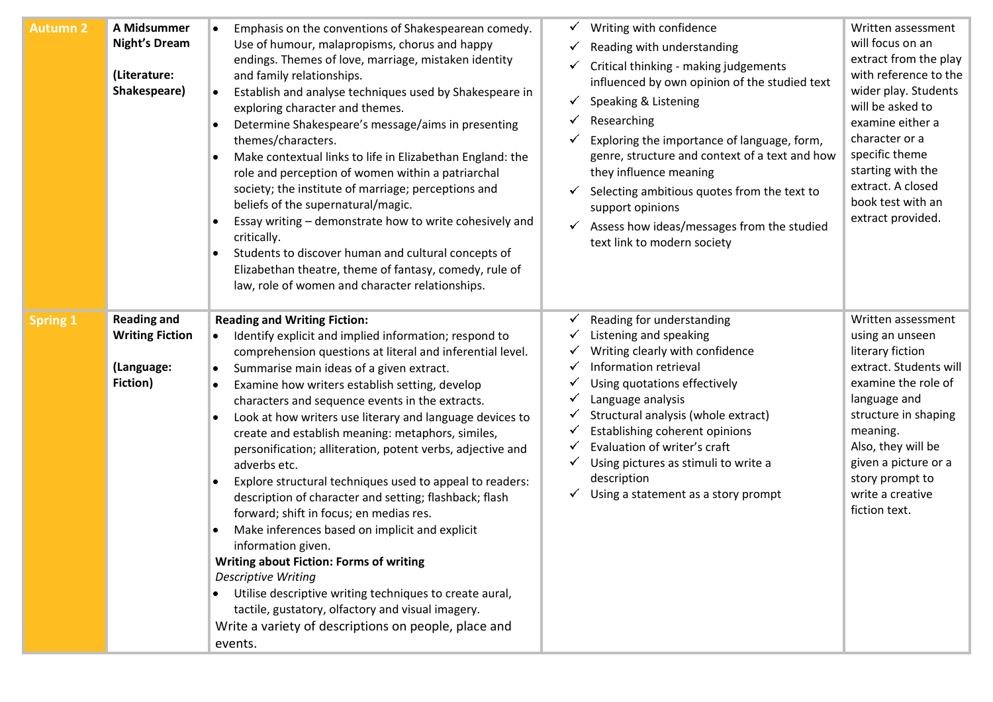| <b>Autumn 2</b> | A Midsummer<br><b>Night's Dream</b><br>(Literature:<br>Shakespeare) | Emphasis on the conventions of Shakespearean comedy.<br>Use of humour, malapropisms, chorus and happy<br>endings. Themes of love, marriage, mistaken identity<br>and family relationships.<br>Establish and analyse techniques used by Shakespeare in<br>exploring character and themes.<br>Determine Shakespeare's message/aims in presenting<br>O<br>themes/characters.<br>Make contextual links to life in Elizabethan England: the<br>role and perception of women within a patriarchal<br>society; the institute of marriage; perceptions and<br>beliefs of the supernatural/magic.<br>Essay writing - demonstrate how to write cohesively and<br>critically.<br>Students to discover human and cultural concepts of<br>$\bullet$<br>Elizabethan theatre, theme of fantasy, comedy, rule of<br>law, role of women and character relationships. | Writing with confidence<br>Reading with understanding<br>Critical thinking - making judgements<br>influenced by own opinion of the studied text<br>Speaking & Listening<br>Researching<br>Exploring the importance of language, form,<br>genre, structure and context of a text and how<br>they influence meaning<br>Selecting ambitious quotes from the text to<br>support opinions<br>Assess how ideas/messages from the studied<br>text link to modern society | Written assessment<br>will focus on an<br>extract from the play<br>with reference to the<br>wider play. Students<br>will be asked to<br>examine either a<br>character or a<br>specific theme<br>starting with the<br>extract. A closed<br>book test with an<br>extract provided. |
|-----------------|---------------------------------------------------------------------|-----------------------------------------------------------------------------------------------------------------------------------------------------------------------------------------------------------------------------------------------------------------------------------------------------------------------------------------------------------------------------------------------------------------------------------------------------------------------------------------------------------------------------------------------------------------------------------------------------------------------------------------------------------------------------------------------------------------------------------------------------------------------------------------------------------------------------------------------------|-------------------------------------------------------------------------------------------------------------------------------------------------------------------------------------------------------------------------------------------------------------------------------------------------------------------------------------------------------------------------------------------------------------------------------------------------------------------|----------------------------------------------------------------------------------------------------------------------------------------------------------------------------------------------------------------------------------------------------------------------------------|
| <b>Spring 1</b> | <b>Reading and</b><br><b>Writing Fiction</b>                        | <b>Reading and Writing Fiction:</b><br>Identify explicit and implied information; respond to                                                                                                                                                                                                                                                                                                                                                                                                                                                                                                                                                                                                                                                                                                                                                        | Reading for understanding<br>Listening and speaking                                                                                                                                                                                                                                                                                                                                                                                                               | Written assessment<br>using an unseen                                                                                                                                                                                                                                            |
|                 |                                                                     | comprehension questions at literal and inferential level.                                                                                                                                                                                                                                                                                                                                                                                                                                                                                                                                                                                                                                                                                                                                                                                           | Writing clearly with confidence                                                                                                                                                                                                                                                                                                                                                                                                                                   | literary fiction                                                                                                                                                                                                                                                                 |
|                 | (Language:                                                          | Summarise main ideas of a given extract.<br>$\bullet$                                                                                                                                                                                                                                                                                                                                                                                                                                                                                                                                                                                                                                                                                                                                                                                               | Information retrieval                                                                                                                                                                                                                                                                                                                                                                                                                                             | extract. Students will                                                                                                                                                                                                                                                           |
|                 | Fiction)                                                            | Examine how writers establish setting, develop<br>O<br>characters and sequence events in the extracts.                                                                                                                                                                                                                                                                                                                                                                                                                                                                                                                                                                                                                                                                                                                                              | Using quotations effectively<br>Language analysis                                                                                                                                                                                                                                                                                                                                                                                                                 | examine the role of<br>language and                                                                                                                                                                                                                                              |
|                 |                                                                     | Look at how writers use literary and language devices to<br>$\bullet$<br>create and establish meaning: metaphors, similes,<br>personification; alliteration, potent verbs, adjective and<br>adverbs etc.<br>Explore structural techniques used to appeal to readers:<br>description of character and setting; flashback; flash<br>forward; shift in focus; en medias res.<br>Make inferences based on implicit and explicit<br>information given.<br><b>Writing about Fiction: Forms of writing</b><br><b>Descriptive Writing</b><br>Utilise descriptive writing techniques to create aural,<br>tactile, gustatory, olfactory and visual imagery.<br>Write a variety of descriptions on people, place and<br>events.                                                                                                                                | Structural analysis (whole extract)<br>Establishing coherent opinions<br>Evaluation of writer's craft<br>Using pictures as stimuli to write a<br>description<br>Using a statement as a story prompt                                                                                                                                                                                                                                                               | structure in shaping<br>meaning.<br>Also, they will be<br>given a picture or a<br>story prompt to<br>write a creative<br>fiction text.                                                                                                                                           |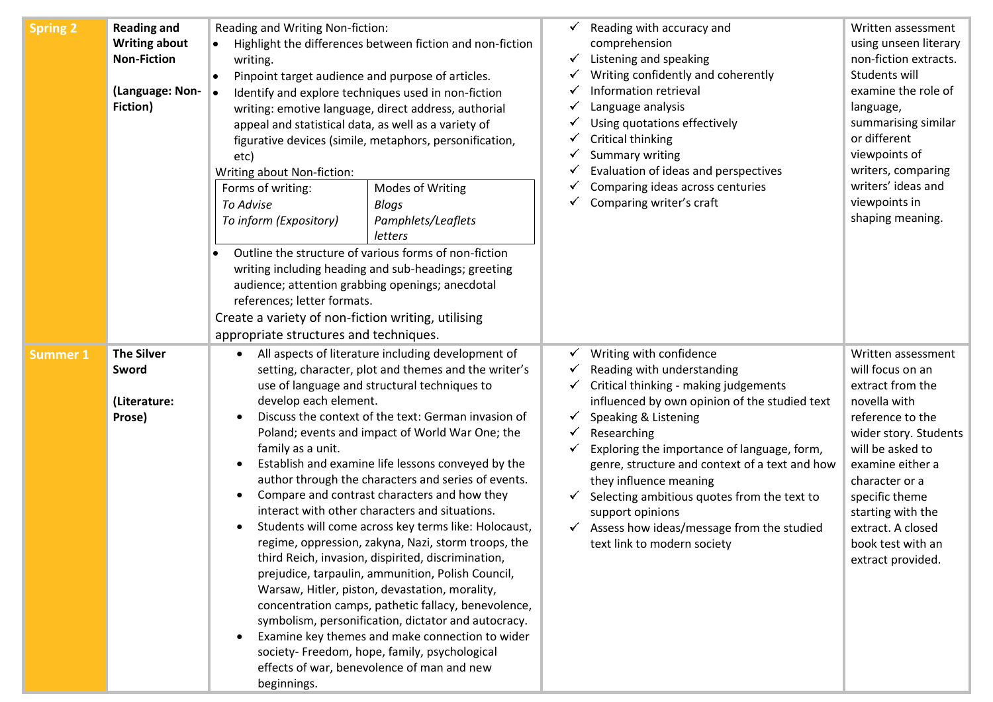| <b>Spring 2</b> | <b>Reading and</b><br><b>Writing about</b><br><b>Non-Fiction</b><br>(Language: Non-<br>Fiction) | Reading and Writing Non-fiction:<br>Highlight the differences between fiction and non-fiction<br>writing.<br>Pinpoint target audience and purpose of articles.<br>$\bullet$<br>Identify and explore techniques used in non-fiction<br>writing: emotive language, direct address, authorial<br>appeal and statistical data, as well as a variety of<br>figurative devices (simile, metaphors, personification,<br>etc)<br>Writing about Non-fiction:<br>Forms of writing:<br>Modes of Writing<br>To Advise<br>Blogs<br>Pamphlets/Leaflets<br>To inform (Expository)<br>letters<br>Outline the structure of various forms of non-fiction<br>writing including heading and sub-headings; greeting<br>audience; attention grabbing openings; anecdotal<br>references; letter formats.<br>Create a variety of non-fiction writing, utilising                                                                                                                                                                                                                                                                                                             | Reading with accuracy and<br>Written assessment<br>using unseen literary<br>comprehension<br>Listening and speaking<br>non-fiction extracts.<br>Writing confidently and coherently<br>Students will<br>Information retrieval<br>examine the role of<br>Language analysis<br>language,<br>Using quotations effectively<br>summarising similar<br>or different<br>Critical thinking<br>viewpoints of<br>Summary writing<br>writers, comparing<br>Evaluation of ideas and perspectives<br>writers' ideas and<br>Comparing ideas across centuries<br>viewpoints in<br>Comparing writer's craft<br>shaping meaning.                                                                                                                                              |  |
|-----------------|-------------------------------------------------------------------------------------------------|-----------------------------------------------------------------------------------------------------------------------------------------------------------------------------------------------------------------------------------------------------------------------------------------------------------------------------------------------------------------------------------------------------------------------------------------------------------------------------------------------------------------------------------------------------------------------------------------------------------------------------------------------------------------------------------------------------------------------------------------------------------------------------------------------------------------------------------------------------------------------------------------------------------------------------------------------------------------------------------------------------------------------------------------------------------------------------------------------------------------------------------------------------|-------------------------------------------------------------------------------------------------------------------------------------------------------------------------------------------------------------------------------------------------------------------------------------------------------------------------------------------------------------------------------------------------------------------------------------------------------------------------------------------------------------------------------------------------------------------------------------------------------------------------------------------------------------------------------------------------------------------------------------------------------------|--|
| Summer 1        | <b>The Silver</b><br>Sword<br>(Literature:<br>Prose)                                            | appropriate structures and techniques.<br>All aspects of literature including development of<br>setting, character, plot and themes and the writer's<br>use of language and structural techniques to<br>develop each element.<br>Discuss the context of the text: German invasion of<br>Poland; events and impact of World War One; the<br>family as a unit.<br>Establish and examine life lessons conveyed by the<br>$\bullet$<br>author through the characters and series of events.<br>Compare and contrast characters and how they<br>interact with other characters and situations.<br>Students will come across key terms like: Holocaust,<br>regime, oppression, zakyna, Nazi, storm troops, the<br>third Reich, invasion, dispirited, discrimination,<br>prejudice, tarpaulin, ammunition, Polish Council,<br>Warsaw, Hitler, piston, devastation, morality,<br>concentration camps, pathetic fallacy, benevolence,<br>symbolism, personification, dictator and autocracy.<br>Examine key themes and make connection to wider<br>society- Freedom, hope, family, psychological<br>effects of war, benevolence of man and new<br>beginnings. | Writing with confidence<br>Written assessment<br>Reading with understanding<br>will focus on an<br>Critical thinking - making judgements<br>extract from the<br>influenced by own opinion of the studied text<br>novella with<br>reference to the<br>Speaking & Listening<br>Researching<br>wider story. Students<br>will be asked to<br>Exploring the importance of language, form,<br>examine either a<br>genre, structure and context of a text and how<br>they influence meaning<br>character or a<br>Selecting ambitious quotes from the text to<br>specific theme<br>support opinions<br>starting with the<br>Assess how ideas/message from the studied<br>extract. A closed<br>text link to modern society<br>book test with an<br>extract provided. |  |